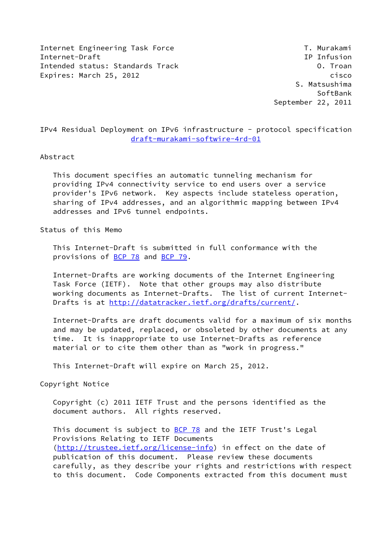Internet Engineering Task Force T. Murakami Internet-Draft IP Infusion Intended status: Standards Track O. Troan Expires: March 25, 2012 **cisco** 

 S. Matsushima SoftBank September 22, 2011

IPv4 Residual Deployment on IPv6 infrastructure - protocol specification [draft-murakami-softwire-4rd-01](https://datatracker.ietf.org/doc/pdf/draft-murakami-softwire-4rd-01)

#### Abstract

 This document specifies an automatic tunneling mechanism for providing IPv4 connectivity service to end users over a service provider's IPv6 network. Key aspects include stateless operation, sharing of IPv4 addresses, and an algorithmic mapping between IPv4 addresses and IPv6 tunnel endpoints.

Status of this Memo

 This Internet-Draft is submitted in full conformance with the provisions of **BCP 78** and **BCP 79**.

 Internet-Drafts are working documents of the Internet Engineering Task Force (IETF). Note that other groups may also distribute working documents as Internet-Drafts. The list of current Internet Drafts is at<http://datatracker.ietf.org/drafts/current/>.

 Internet-Drafts are draft documents valid for a maximum of six months and may be updated, replaced, or obsoleted by other documents at any time. It is inappropriate to use Internet-Drafts as reference material or to cite them other than as "work in progress."

This Internet-Draft will expire on March 25, 2012.

Copyright Notice

 Copyright (c) 2011 IETF Trust and the persons identified as the document authors. All rights reserved.

This document is subject to **[BCP 78](https://datatracker.ietf.org/doc/pdf/bcp78)** and the IETF Trust's Legal Provisions Relating to IETF Documents [\(http://trustee.ietf.org/license-info](http://trustee.ietf.org/license-info)) in effect on the date of publication of this document. Please review these documents carefully, as they describe your rights and restrictions with respect to this document. Code Components extracted from this document must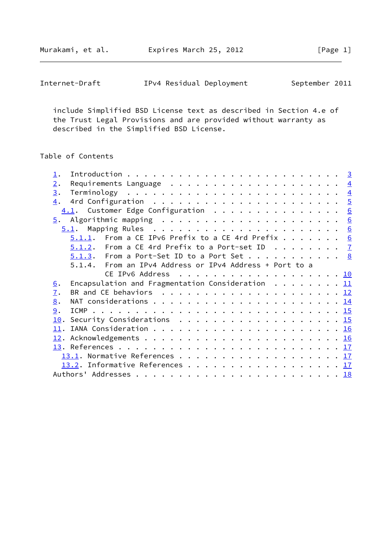Murakami, et al. **Expires March 25, 2012** [Page 1]

| Internet-Draft | IPv4 Residual Deployment |  | September 2011 |  |
|----------------|--------------------------|--|----------------|--|
|----------------|--------------------------|--|----------------|--|

 include Simplified BSD License text as described in Section 4.e of the Trust Legal Provisions and are provided without warranty as described in the Simplified BSD License.

# Table of Contents

| $\perp$ .                                                                                |  |  |
|------------------------------------------------------------------------------------------|--|--|
| 2.<br>Requirements Language $\ldots$ 4                                                   |  |  |
| 3.                                                                                       |  |  |
| $\overline{4}$ .                                                                         |  |  |
| 4.1. Customer Edge Configuration 6                                                       |  |  |
|                                                                                          |  |  |
|                                                                                          |  |  |
| $5.1.1$ . From a CE IPv6 Prefix to a CE 4rd Prefix 6                                     |  |  |
| $5.1.2$ . From a CE 4rd Prefix to a Port-set ID $7$                                      |  |  |
| $5.1.3$ . From a Port-Set ID to a Port Set 8                                             |  |  |
| 5.1.4. From an IPv4 Address or IPv4 Address + Port to a                                  |  |  |
|                                                                                          |  |  |
| Encapsulation and Fragmentation Consideration $\ldots \ldots \ldots \frac{11}{11}$<br>6. |  |  |
| BR and CE behaviors $\ldots$ 12<br>7.                                                    |  |  |
| 8.                                                                                       |  |  |
| 9.                                                                                       |  |  |
|                                                                                          |  |  |
|                                                                                          |  |  |
|                                                                                          |  |  |
|                                                                                          |  |  |
| 13.1. Normative References 17                                                            |  |  |
| 13.2. Informative References 17                                                          |  |  |
|                                                                                          |  |  |
|                                                                                          |  |  |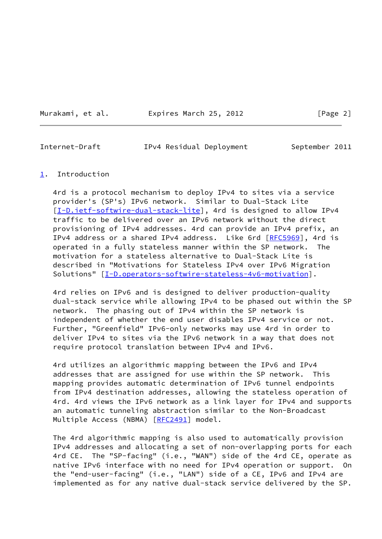Murakami, et al. Expires March 25, 2012 [Page 2]

<span id="page-2-1"></span>Internet-Draft IPv4 Residual Deployment September 2011

#### <span id="page-2-0"></span>[1](#page-2-0). Introduction

 4rd is a protocol mechanism to deploy IPv4 to sites via a service provider's (SP's) IPv6 network. Similar to Dual-Stack Lite [\[I-D.ietf-softwire-dual-stack-lite](#page-18-3)], 4rd is designed to allow IPv4 traffic to be delivered over an IPv6 network without the direct provisioning of IPv4 addresses. 4rd can provide an IPv4 prefix, an IPv4 address or a shared IPv4 address. Like 6rd [\[RFC5969](https://datatracker.ietf.org/doc/pdf/rfc5969)], 4rd is operated in a fully stateless manner within the SP network. The motivation for a stateless alternative to Dual-Stack Lite is described in "Motivations for Stateless IPv4 over IPv6 Migration Solutions" [[I-D.operators-softwire-stateless-4v6-motivation\]](#page-19-1).

 4rd relies on IPv6 and is designed to deliver production-quality dual-stack service while allowing IPv4 to be phased out within the SP network. The phasing out of IPv4 within the SP network is independent of whether the end user disables IPv4 service or not. Further, "Greenfield" IPv6-only networks may use 4rd in order to deliver IPv4 to sites via the IPv6 network in a way that does not require protocol translation between IPv4 and IPv6.

 4rd utilizes an algorithmic mapping between the IPv6 and IPv4 addresses that are assigned for use within the SP network. This mapping provides automatic determination of IPv6 tunnel endpoints from IPv4 destination addresses, allowing the stateless operation of 4rd. 4rd views the IPv6 network as a link layer for IPv4 and supports an automatic tunneling abstraction similar to the Non-Broadcast Multiple Access (NBMA) [\[RFC2491](https://datatracker.ietf.org/doc/pdf/rfc2491)] model.

 The 4rd algorithmic mapping is also used to automatically provision IPv4 addresses and allocating a set of non-overlapping ports for each 4rd CE. The "SP-facing" (i.e., "WAN") side of the 4rd CE, operate as native IPv6 interface with no need for IPv4 operation or support. On the "end-user-facing" (i.e., "LAN") side of a CE, IPv6 and IPv4 are implemented as for any native dual-stack service delivered by the SP.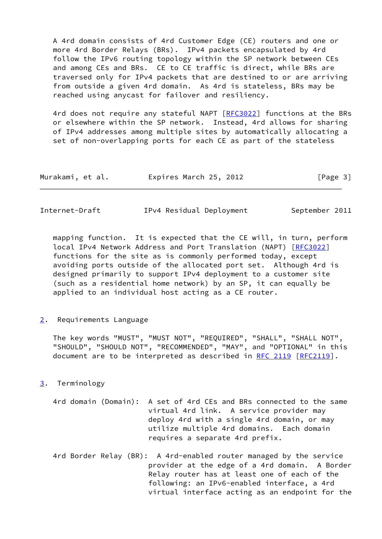A 4rd domain consists of 4rd Customer Edge (CE) routers and one or more 4rd Border Relays (BRs). IPv4 packets encapsulated by 4rd follow the IPv6 routing topology within the SP network between CEs and among CEs and BRs. CE to CE traffic is direct, while BRs are traversed only for IPv4 packets that are destined to or are arriving from outside a given 4rd domain. As 4rd is stateless, BRs may be reached using anycast for failover and resiliency.

4rd does not require any stateful NAPT [\[RFC3022](https://datatracker.ietf.org/doc/pdf/rfc3022)] functions at the BRs or elsewhere within the SP network. Instead, 4rd allows for sharing of IPv4 addresses among multiple sites by automatically allocating a set of non-overlapping ports for each CE as part of the stateless

| Murakami, et al. | Expires March 25, 2012 | [Page 3] |
|------------------|------------------------|----------|
|------------------|------------------------|----------|

<span id="page-3-1"></span>

| Internet-Draft | IPv4 Residual Deployment | September 2011 |
|----------------|--------------------------|----------------|
|----------------|--------------------------|----------------|

 mapping function. It is expected that the CE will, in turn, perform local IPv4 Network Address and Port Translation (NAPT) [\[RFC3022](https://datatracker.ietf.org/doc/pdf/rfc3022)] functions for the site as is commonly performed today, except avoiding ports outside of the allocated port set. Although 4rd is designed primarily to support IPv4 deployment to a customer site (such as a residential home network) by an SP, it can equally be applied to an individual host acting as a CE router.

<span id="page-3-0"></span>[2](#page-3-0). Requirements Language

 The key words "MUST", "MUST NOT", "REQUIRED", "SHALL", "SHALL NOT", "SHOULD", "SHOULD NOT", "RECOMMENDED", "MAY", and "OPTIONAL" in this document are to be interpreted as described in [RFC 2119 \[RFC2119](https://datatracker.ietf.org/doc/pdf/rfc2119)].

## <span id="page-3-2"></span>[3](#page-3-2). Terminology

- 4rd domain (Domain): A set of 4rd CEs and BRs connected to the same virtual 4rd link. A service provider may deploy 4rd with a single 4rd domain, or may utilize multiple 4rd domains. Each domain requires a separate 4rd prefix.
- 4rd Border Relay (BR): A 4rd-enabled router managed by the service provider at the edge of a 4rd domain. A Border Relay router has at least one of each of the following: an IPv6-enabled interface, a 4rd virtual interface acting as an endpoint for the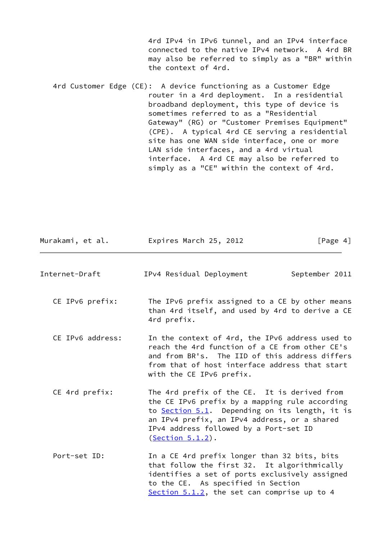4rd IPv4 in IPv6 tunnel, and an IPv4 interface connected to the native IPv4 network. A 4rd BR may also be referred to simply as a "BR" within the context of 4rd.

 4rd Customer Edge (CE): A device functioning as a Customer Edge router in a 4rd deployment. In a residential broadband deployment, this type of device is sometimes referred to as a "Residential Gateway" (RG) or "Customer Premises Equipment" (CPE). A typical 4rd CE serving a residential site has one WAN side interface, one or more LAN side interfaces, and a 4rd virtual interface. A 4rd CE may also be referred to simply as a "CE" within the context of 4rd.

<span id="page-4-0"></span>

| Murakami, et al. | Expires March 25, 2012                                                                                                                                                                                                                                            | [Page $4$ ]    |
|------------------|-------------------------------------------------------------------------------------------------------------------------------------------------------------------------------------------------------------------------------------------------------------------|----------------|
| Internet-Draft   | IPv4 Residual Deployment                                                                                                                                                                                                                                          | September 2011 |
| CE IPv6 prefix:  | The IPv6 prefix assigned to a CE by other means<br>than 4rd itself, and used by 4rd to derive a CE<br>4rd prefix.                                                                                                                                                 |                |
| CE IPv6 address: | In the context of 4rd, the IPv6 address used to<br>reach the 4rd function of a CE from other CE's<br>and from BR's. The IID of this address differs<br>from that of host interface address that start<br>with the CE IPv6 prefix.                                 |                |
| CE 4rd prefix:   | The 4rd prefix of the CE. It is derived from<br>the CE IPv6 prefix by a mapping rule according<br>to Section 5.1. Depending on its length, it is<br>an IPv4 prefix, an IPv4 address, or a shared<br>IPv4 address followed by a Port-set ID<br>$(Section 5.1.2)$ . |                |
| Port-set ID:     | In a CE 4rd prefix longer than 32 bits, bits<br>that follow the first 32. It algorithmically<br>identifies a set of ports exclusively assigned<br>to the CE. As specified in Section<br>Section 5.1.2, the set can comprise up to 4                               |                |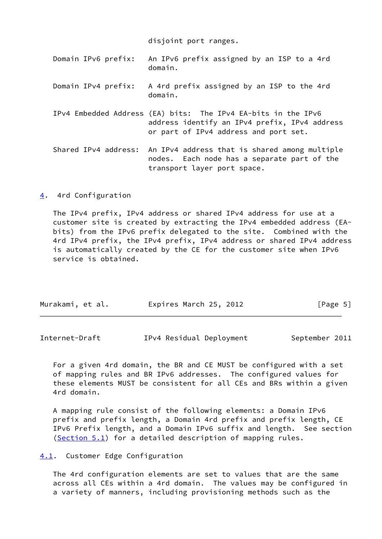disjoint port ranges.

| Domain IPv6 prefix:  | An IPv6 prefix assigned by an ISP to a 4rd<br>domain.                                                                                                   |
|----------------------|---------------------------------------------------------------------------------------------------------------------------------------------------------|
| Domain IPv4 prefix:  | A 4rd prefix assigned by an ISP to the 4rd<br>domain.                                                                                                   |
|                      | IPv4 Embedded Address (EA) bits: The IPv4 EA-bits in the IPv6<br>address identify an IPv4 prefix, IPv4 address<br>or part of IPv4 address and port set. |
| Shared IPv4 address: | An IPv4 address that is shared among multiple<br>nodes. Each node has a separate part of the<br>transport layer port space.                             |

<span id="page-5-0"></span>[4](#page-5-0). 4rd Configuration

 The IPv4 prefix, IPv4 address or shared IPv4 address for use at a customer site is created by extracting the IPv4 embedded address (EA bits) from the IPv6 prefix delegated to the site. Combined with the 4rd IPv4 prefix, the IPv4 prefix, IPv4 address or shared IPv4 address is automatically created by the CE for the customer site when IPv6 service is obtained.

| Murakami, et al. | Expires March 25, 2012 | [Page 5] |
|------------------|------------------------|----------|
|                  |                        |          |

<span id="page-5-2"></span>

| Internet-Draft | IPv4 Residual Deployment |  | September 2011 |  |
|----------------|--------------------------|--|----------------|--|
|----------------|--------------------------|--|----------------|--|

 For a given 4rd domain, the BR and CE MUST be configured with a set of mapping rules and BR IPv6 addresses. The configured values for these elements MUST be consistent for all CEs and BRs within a given 4rd domain.

 A mapping rule consist of the following elements: a Domain IPv6 prefix and prefix length, a Domain 4rd prefix and prefix length, CE IPv6 Prefix length, and a Domain IPv6 suffix and length. See section [\(Section 5.1](#page-6-1)) for a detailed description of mapping rules.

<span id="page-5-1"></span>[4.1](#page-5-1). Customer Edge Configuration

 The 4rd configuration elements are set to values that are the same across all CEs within a 4rd domain. The values may be configured in a variety of manners, including provisioning methods such as the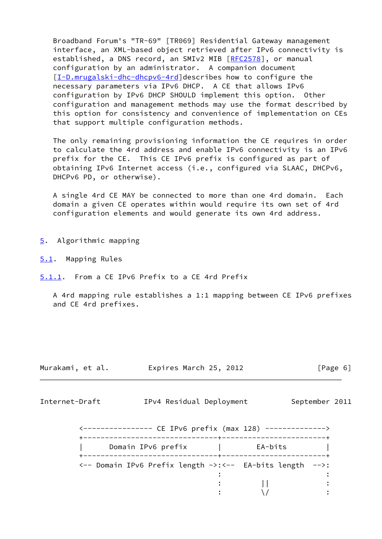Broadband Forum's "TR-69" [TR069] Residential Gateway management interface, an XML-based object retrieved after IPv6 connectivity is established, a DNS record, an SMIv2 MIB [\[RFC2578](https://datatracker.ietf.org/doc/pdf/rfc2578)], or manual configuration by an administrator. A companion document [\[I-D.mrugalski-dhc-dhcpv6-4rd](#page-19-2)]describes how to configure the necessary parameters via IPv6 DHCP. A CE that allows IPv6 configuration by IPv6 DHCP SHOULD implement this option. Other configuration and management methods may use the format described by this option for consistency and convenience of implementation on CEs that support multiple configuration methods.

 The only remaining provisioning information the CE requires in order to calculate the 4rd address and enable IPv6 connectivity is an IPv6 prefix for the CE. This CE IPv6 prefix is configured as part of obtaining IPv6 Internet access (i.e., configured via SLAAC, DHCPv6, DHCPv6 PD, or otherwise).

 A single 4rd CE MAY be connected to more than one 4rd domain. Each domain a given CE operates within would require its own set of 4rd configuration elements and would generate its own 4rd address.

<span id="page-6-0"></span>[5](#page-6-0). Algorithmic mapping

<span id="page-6-1"></span>[5.1](#page-6-1). Mapping Rules

<span id="page-6-2"></span>[5.1.1](#page-6-2). From a CE IPv6 Prefix to a CE 4rd Prefix

 A 4rd mapping rule establishes a 1:1 mapping between CE IPv6 prefixes and CE 4rd prefixes.

| Murakami, et al. | Expires March 25, 2012 | [Page 6] |
|------------------|------------------------|----------|
|------------------|------------------------|----------|

<span id="page-6-3"></span>Internet-Draft TPv4 Residual Deployment September 2011

| CE IPv6 prefix (max 128)                                 |         |  |
|----------------------------------------------------------|---------|--|
| Domain IPv6 prefix                                       | EA-bits |  |
| <-- Domain IPv6 Prefix length ->:<-- EA-bits length -->: |         |  |
|                                                          |         |  |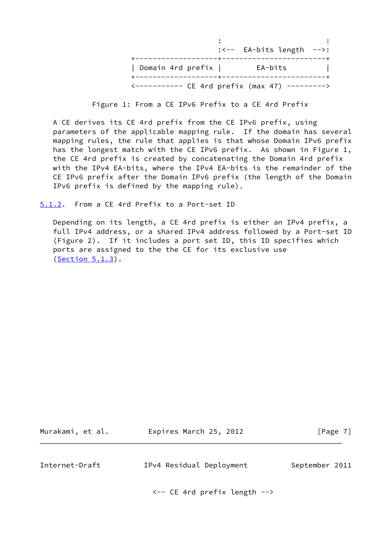|                   | $\left(\frac{1}{2}\right)^{15}-\left(\frac{1}{2}\right)^{16}-\left(\frac{1}{2}\right)^{16}-\left(\frac{1}{2}\right)^{16}-\left(\frac{1}{2}\right)^{16}-\left(\frac{1}{2}\right)^{16}-\left(\frac{1}{2}\right)^{16}-\left(\frac{1}{2}\right)^{16}-\left(\frac{1}{2}\right)^{16}-\left(\frac{1}{2}\right)^{16}-\left(\frac{1}{2}\right)^{16}-\left(\frac{1}{2}\right)^{16}-\left(\frac{1}{2}\right)^{16}-\left(\frac{1}{2}\right)^{16}-\left(\frac{1}{2}\right$ |
|-------------------|---------------------------------------------------------------------------------------------------------------------------------------------------------------------------------------------------------------------------------------------------------------------------------------------------------------------------------------------------------------------------------------------------------------------------------------------------------------|
| Domain 4rd prefix | EA-bits                                                                                                                                                                                                                                                                                                                                                                                                                                                       |
|                   | <---------- CE 4rd prefix (max 47) --------->                                                                                                                                                                                                                                                                                                                                                                                                                 |

Figure 1: From a CE IPv6 Prefix to a CE 4rd Prefix

 A CE derives its CE 4rd prefix from the CE IPv6 prefix, using parameters of the applicable mapping rule. If the domain has several mapping rules, the rule that applies is that whose Domain IPv6 prefix has the longest match with the CE IPv6 prefix. As shown in Figure 1, the CE 4rd prefix is created by concatenating the Domain 4rd prefix with the IPv4 EA-bits, where the IPv4 EA-bits is the remainder of the CE IPv6 prefix after the Domain IPv6 prefix (the length of the Domain IPv6 prefix is defined by the mapping rule).

<span id="page-7-0"></span>[5.1.2](#page-7-0). From a CE 4rd Prefix to a Port-set ID

 Depending on its length, a CE 4rd prefix is either an IPv4 prefix, a full IPv4 address, or a shared IPv4 address followed by a Port-set ID (Figure 2). If it includes a port set ID, this ID specifies which ports are assigned to the the CE for its exclusive use [\(Section 5.1.3](#page-8-0)).

<span id="page-7-1"></span>

| Murakami, et al. | Expires March 25, 2012   | [Page 7]       |
|------------------|--------------------------|----------------|
|                  |                          |                |
| Internet-Draft   | IPv4 Residual Deployment | September 2011 |

<-- CE 4rd prefix length -->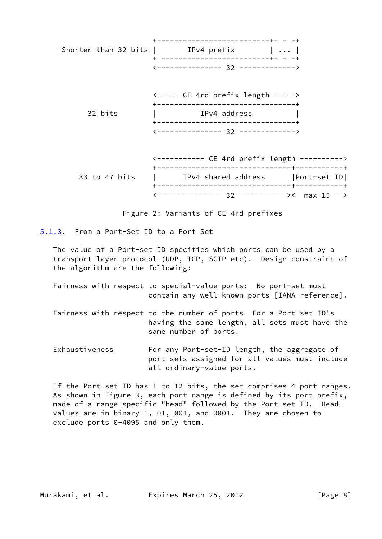|               | ---------------------------+- - -+                                                |  |
|---------------|-----------------------------------------------------------------------------------|--|
|               | Shorter than 32 bits $ $ IPv4 prefix $    $<br>+ -------------------------+- - -+ |  |
|               | $\leftarrow$ --------------- 32 ------------->                                    |  |
|               | <----- CE 4rd prefix length -----><br>+----------------------------------         |  |
| 32 bits       | IPv4 address<br>----------------------------------                                |  |
|               | $\left\langle \text{---}\right\rangle$                                            |  |
|               | <---------- CE 4rd prefix length ---------->                                      |  |
| 33 to 47 bits | IPv4 shared address   Port-set ID                                                 |  |
|               |                                                                                   |  |

Figure 2: Variants of CE 4rd prefixes

<--------------- 32 -----------><- max 15 -->

<span id="page-8-0"></span>[5.1.3](#page-8-0). From a Port-Set ID to a Port Set

 The value of a Port-set ID specifies which ports can be used by a transport layer protocol (UDP, TCP, SCTP etc). Design constraint of the algorithm are the following:

- Fairness with respect to special-value ports: No port-set must contain any well-known ports [IANA reference].
- Fairness with respect to the number of ports For a Port-set-ID's having the same length, all sets must have the same number of ports.
- Exhaustiveness For any Port-set-ID length, the aggregate of port sets assigned for all values must include all ordinary-value ports.

 If the Port-set ID has 1 to 12 bits, the set comprises 4 port ranges. As shown in Figure 3, each port range is defined by its port prefix, made of a range-specific "head" followed by the Port-set ID. Head values are in binary 1, 01, 001, and 0001. They are chosen to exclude ports 0-4095 and only them.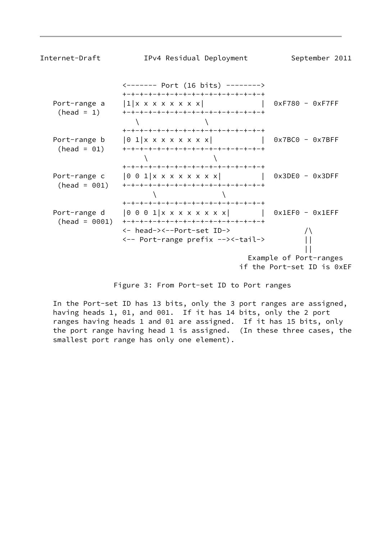| Internet-Draft                  | IPv4 Residual Deployment                                                                                                                | September 2011                                       |
|---------------------------------|-----------------------------------------------------------------------------------------------------------------------------------------|------------------------------------------------------|
|                                 |                                                                                                                                         |                                                      |
| Port-range a<br>$(head = 1)$    | +-+-+-+-+-+-+-+-+-+-+-+-+-+-+-+-+<br>$ 1 $ x x x x x x x x  <br>+-+-+-+-+-+-+-+-+-+-+-+-+-+-+-+-+<br>+-+-+-+-+-+-+-+-+-+-+-+-+-+-+-+-+  | $0xF780 - 0xF7FF$                                    |
| Port-range b<br>$(head = 01)$   | $\begin{bmatrix} 0 & 1 & x & x & x & x & x & x \end{bmatrix}$<br>+-+-+-+-+-+-+-+-+-+-+-+-+-+-+-+-+<br>+-+-+-+-+-+-+-+-+-+-+-+-+-+-+-+-+ | $0x7BC0 - 0x7BFF$                                    |
| Port-range c<br>$(head = 001)$  | $\begin{bmatrix} 0 & 0 & 1 \end{bmatrix}$ x x x x x x x x  <br>+-+-+-+-+-+-+-+-+-+-+-+-+-+-+-+-+-<br>+-+-+-+-+-+-+-+-+-+-+-+-+-+-+-+-+- | $0x3DE0 - 0x3DFF$                                    |
| Port-range d<br>$(head = 0001)$ | $ 0001 $ $x x x x x x x$<br>+-+-+-+-+-+-+-+-+-+-+-+-+-+-+-+-+-+<br><- head-><--Port-set ID->                                            | Ox1EF0 - 0x1EFF                                      |
|                                 | <-- Port-range prefix --><-tail->                                                                                                       | Example of Port-ranges<br>if the Port-set ID is 0xEF |

Figure 3: From Port-set ID to Port ranges

 In the Port-set ID has 13 bits, only the 3 port ranges are assigned, having heads 1, 01, and 001. If it has 14 bits, only the 2 port ranges having heads 1 and 01 are assigned. If it has 15 bits, only the port range having head 1 is assigned. (In these three cases, the smallest port range has only one element).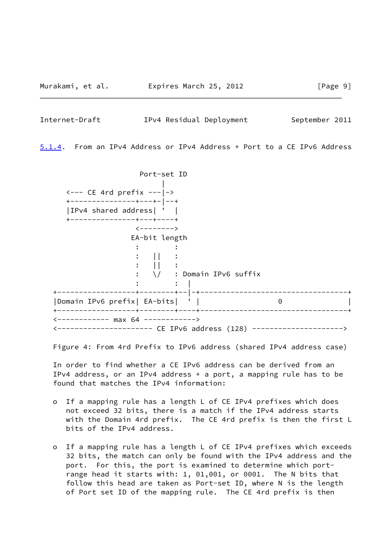<span id="page-10-0"></span>

|  | Internet-Draft |  |  | IPv4 Residual Deployment | September 2011 |  |
|--|----------------|--|--|--------------------------|----------------|--|
|--|----------------|--|--|--------------------------|----------------|--|

<span id="page-10-1"></span>[5.1.4](#page-10-1). From an IPv4 Address or IPv4 Address + Port to a CE IPv6 Address

 Port-set ID |  $\leftarrow$  --- CE 4rd prefix ---|-> +---------------+---+-|--+ |IPv4 shared address| ' | +---------------+---+----+  $\left\langle$ --------> EA-bit length  $\cdot$  :  $\cdot$  :  $\mathbf{I}$ :  $|| \cdot || \cdot ||$  $:$   $||$   $:$  : \/ : Domain IPv6 suffix :  $|$   $|$  +------------------+--------+--|-+----------------------------------+ |Domain IPv6 prefix| EA-bits| ' | 0 | +------------------+--------+----+----------------------------------+ <------------ max 64 ------------> <---------------------- CE IPv6 address (128) --------------------->

Figure 4: From 4rd Prefix to IPv6 address (shared IPv4 address case)

 In order to find whether a CE IPv6 address can be derived from an IPv4 address, or an IPv4 address + a port, a mapping rule has to be found that matches the IPv4 information:

- o If a mapping rule has a length L of CE IPv4 prefixes which does not exceed 32 bits, there is a match if the IPv4 address starts with the Domain 4rd prefix. The CE 4rd prefix is then the first L bits of the IPv4 address.
- o If a mapping rule has a length L of CE IPv4 prefixes which exceeds 32 bits, the match can only be found with the IPv4 address and the port. For this, the port is examined to determine which port range head it starts with: 1, 01,001, or 0001. The N bits that follow this head are taken as Port-set ID, where N is the length of Port set ID of the mapping rule. The CE 4rd prefix is then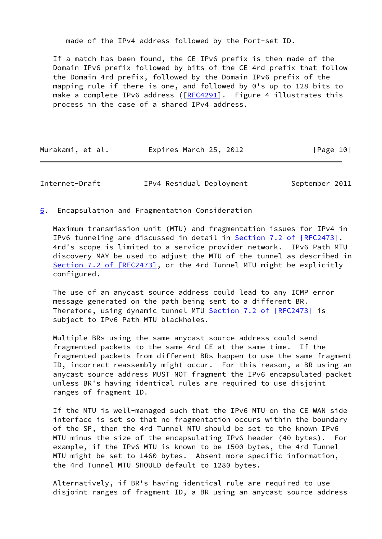made of the IPv4 address followed by the Port-set ID.

 If a match has been found, the CE IPv6 prefix is then made of the Domain IPv6 prefix followed by bits of the CE 4rd prefix that follow the Domain 4rd prefix, followed by the Domain IPv6 prefix of the mapping rule if there is one, and followed by 0's up to 128 bits to make a complete IPv6 address ([[RFC4291](https://datatracker.ietf.org/doc/pdf/rfc4291)]. Figure 4 illustrates this process in the case of a shared IPv4 address.

| Murakami, et al. | Expires March 25, 2012 | [Page 10] |
|------------------|------------------------|-----------|
|------------------|------------------------|-----------|

<span id="page-11-1"></span>Internet-Draft TPv4 Residual Deployment September 2011

<span id="page-11-0"></span>[6](#page-11-0). Encapsulation and Fragmentation Consideration

 Maximum transmission unit (MTU) and fragmentation issues for IPv4 in IPv6 tunneling are discussed in detail in Section [7.2 of \[RFC2473\]](https://datatracker.ietf.org/doc/pdf/rfc2473#section-7.2). 4rd's scope is limited to a service provider network. IPv6 Path MTU discovery MAY be used to adjust the MTU of the tunnel as described in Section [7.2 of \[RFC2473\]](https://datatracker.ietf.org/doc/pdf/rfc2473#section-7.2), or the 4rd Tunnel MTU might be explicitly configured.

 The use of an anycast source address could lead to any ICMP error message generated on the path being sent to a different BR. Therefore, using dynamic tunnel MTU Section [7.2 of \[RFC2473\]](https://datatracker.ietf.org/doc/pdf/rfc2473#section-7.2) is subject to IPv6 Path MTU blackholes.

 Multiple BRs using the same anycast source address could send fragmented packets to the same 4rd CE at the same time. If the fragmented packets from different BRs happen to use the same fragment ID, incorrect reassembly might occur. For this reason, a BR using an anycast source address MUST NOT fragment the IPv6 encapsulated packet unless BR's having identical rules are required to use disjoint ranges of fragment ID.

 If the MTU is well-managed such that the IPv6 MTU on the CE WAN side interface is set so that no fragmentation occurs within the boundary of the SP, then the 4rd Tunnel MTU should be set to the known IPv6 MTU minus the size of the encapsulating IPv6 header (40 bytes). For example, if the IPv6 MTU is known to be 1500 bytes, the 4rd Tunnel MTU might be set to 1460 bytes. Absent more specific information, the 4rd Tunnel MTU SHOULD default to 1280 bytes.

 Alternatively, if BR's having identical rule are required to use disjoint ranges of fragment ID, a BR using an anycast source address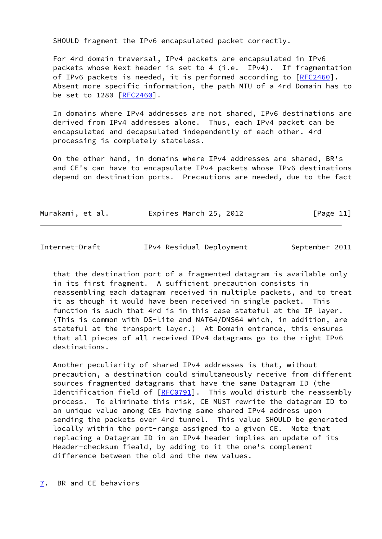SHOULD fragment the IPv6 encapsulated packet correctly.

 For 4rd domain traversal, IPv4 packets are encapsulated in IPv6 packets whose Next header is set to 4 (i.e. IPv4). If fragmentation of IPv6 packets is needed, it is performed according to [\[RFC2460](https://datatracker.ietf.org/doc/pdf/rfc2460)]. Absent more specific information, the path MTU of a 4rd Domain has to be set to 1280 [\[RFC2460](https://datatracker.ietf.org/doc/pdf/rfc2460)].

 In domains where IPv4 addresses are not shared, IPv6 destinations are derived from IPv4 addresses alone. Thus, each IPv4 packet can be encapsulated and decapsulated independently of each other. 4rd processing is completely stateless.

 On the other hand, in domains where IPv4 addresses are shared, BR's and CE's can have to encapsulate IPv4 packets whose IPv6 destinations depend on destination ports. Precautions are needed, due to the fact

| Murakami, et al. |  |  | Expires March 25, 2012 |  |  |  | [Page 11] |  |
|------------------|--|--|------------------------|--|--|--|-----------|--|
|------------------|--|--|------------------------|--|--|--|-----------|--|

<span id="page-12-1"></span>

|--|

IPv4 Residual Deployment September 2011

 that the destination port of a fragmented datagram is available only in its first fragment. A sufficient precaution consists in reassembling each datagram received in multiple packets, and to treat it as though it would have been received in single packet. This function is such that 4rd is in this case stateful at the IP layer. (This is common with DS-lite and NAT64/DNS64 which, in addition, are stateful at the transport layer.) At Domain entrance, this ensures that all pieces of all received IPv4 datagrams go to the right IPv6 destinations.

 Another peculiarity of shared IPv4 addresses is that, without precaution, a destination could simultaneously receive from different sources fragmented datagrams that have the same Datagram ID (the Identification field of [\[RFC0791](https://datatracker.ietf.org/doc/pdf/rfc0791)]. This would disturb the reassembly process. To eliminate this risk, CE MUST rewrite the datagram ID to an unique value among CEs having same shared IPv4 address upon sending the packets over 4rd tunnel. This value SHOULD be generated locally within the port-range assigned to a given CE. Note that replacing a Datagram ID in an IPv4 header implies an update of its Header-checksum fieald, by adding to it the one's complement difference between the old and the new values.

<span id="page-12-0"></span>[7](#page-12-0). BR and CE behaviors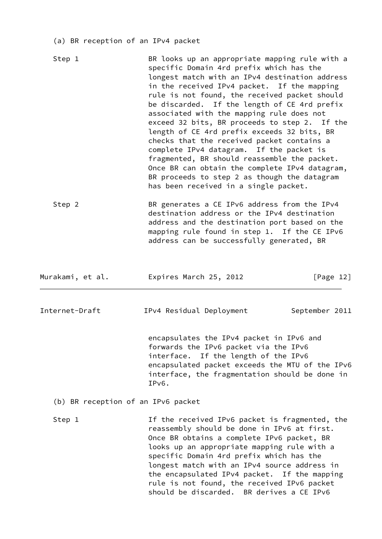(a) BR reception of an IPv4 packet

| Step 1                             | BR looks up an appropriate mapping rule with a<br>specific Domain 4rd prefix which has the<br>longest match with an IPv4 destination address<br>in the received IPv4 packet. If the mapping<br>rule is not found, the received packet should<br>be discarded. If the length of CE 4rd prefix<br>associated with the mapping rule does not<br>exceed 32 bits, BR proceeds to step 2. If the<br>length of CE 4rd prefix exceeds 32 bits, BR<br>checks that the received packet contains a<br>complete IPv4 datagram. If the packet is<br>fragmented, BR should reassemble the packet.<br>Once BR can obtain the complete IPv4 datagram,<br>BR proceeds to step 2 as though the datagram<br>has been received in a single packet. |
|------------------------------------|--------------------------------------------------------------------------------------------------------------------------------------------------------------------------------------------------------------------------------------------------------------------------------------------------------------------------------------------------------------------------------------------------------------------------------------------------------------------------------------------------------------------------------------------------------------------------------------------------------------------------------------------------------------------------------------------------------------------------------|
| Step 2                             | BR generates a CE IPv6 address from the IPv4<br>destination address or the IPv4 destination<br>address and the destination port based on the<br>mapping rule found in step 1. If the CE IPv6<br>address can be successfully generated, BR                                                                                                                                                                                                                                                                                                                                                                                                                                                                                      |
| Murakami, et al.                   | Expires March 25, 2012<br>[Page 12]                                                                                                                                                                                                                                                                                                                                                                                                                                                                                                                                                                                                                                                                                            |
| Internet-Draft                     | IPv4 Residual Deployment<br>September 2011                                                                                                                                                                                                                                                                                                                                                                                                                                                                                                                                                                                                                                                                                     |
|                                    | encapsulates the IPv4 packet in IPv6 and<br>forwards the IPv6 packet via the IPv6<br>interface. If the length of the IPv6<br>encapsulated packet exceeds the MTU of the IPv6<br>interface, the fragmentation should be done in<br>IPv6.                                                                                                                                                                                                                                                                                                                                                                                                                                                                                        |
| (b) BR reception of an IPv6 packet |                                                                                                                                                                                                                                                                                                                                                                                                                                                                                                                                                                                                                                                                                                                                |
| Step 1                             | If the received IPv6 packet is fragmented, the<br>reassembly should be done in IPv6 at first.<br>Once BR obtains a complete IPv6 packet, BR<br>looks up an appropriate mapping rule with a<br>specific Domain 4rd prefix which has the<br>longest match with an IPv4 source address in<br>the encapsulated IPv4 packet. If the mapping<br>rule is not found, the received IPv6 packet<br>should be discarded. BR derives a CE IPv6                                                                                                                                                                                                                                                                                             |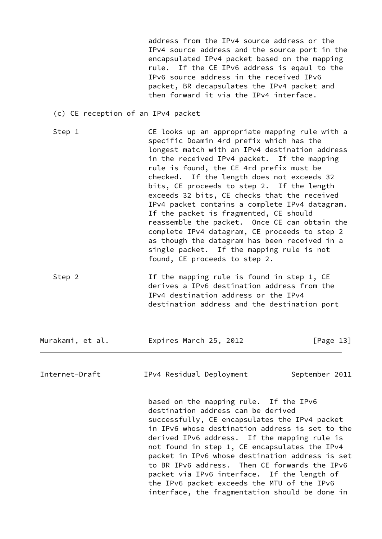address from the IPv4 source address or the IPv4 source address and the source port in the encapsulated IPv4 packet based on the mapping rule. If the CE IPv6 address is eqaul to the IPv6 source address in the received IPv6 packet, BR decapsulates the IPv4 packet and then forward it via the IPv4 interface.

- (c) CE reception of an IPv4 packet
- Step 1 CE looks up an appropriate mapping rule with a specific Doamin 4rd prefix which has the longest match with an IPv4 destination address in the received IPv4 packet. If the mapping rule is found, the CE 4rd prefix must be checked. If the length does not exceeds 32 bits, CE proceeds to step 2. If the length exceeds 32 bits, CE checks that the received IPv4 packet contains a complete IPv4 datagram. If the packet is fragmented, CE should reassemble the packet. Once CE can obtain the complete IPv4 datagram, CE proceeds to step 2 as though the datagram has been received in a single packet. If the mapping rule is not found, CE proceeds to step 2.
- Step 2 Tf the mapping rule is found in step 1, CE derives a IPv6 destination address from the IPv4 destination address or the IPv4 destination address and the destination port

Murakami, et al. Expires March 25, 2012 [Page 13]

<span id="page-14-0"></span>Internet-Draft IPv4 Residual Deployment September 2011

 based on the mapping rule. If the IPv6 destination address can be derived successfully, CE encapsulates the IPv4 packet in IPv6 whose destination address is set to the derived IPv6 address. If the mapping rule is not found in step 1, CE encapsulates the IPv4 packet in IPv6 whose destination address is set to BR IPv6 address. Then CE forwards the IPv6 packet via IPv6 interface. If the length of the IPv6 packet exceeds the MTU of the IPv6 interface, the fragmentation should be done in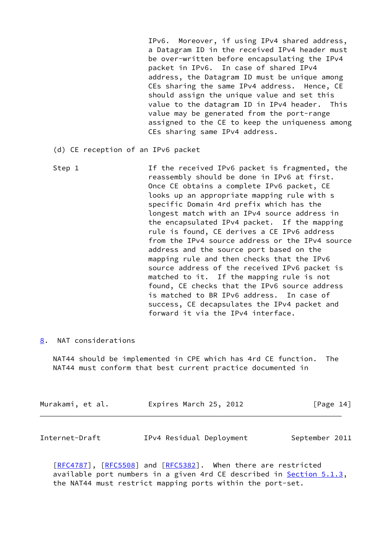IPv6. Moreover, if using IPv4 shared address, a Datagram ID in the received IPv4 header must be over-written before encapsulating the IPv4 packet in IPv6. In case of shared IPv4 address, the Datagram ID must be unique among CEs sharing the same IPv4 address. Hence, CE should assign the unique value and set this value to the datagram ID in IPv4 header. This value may be generated from the port-range assigned to the CE to keep the uniqueness among CEs sharing same IPv4 address.

- (d) CE reception of an IPv6 packet
- Step 1 1 1 If the received IPv6 packet is fragmented, the reassembly should be done in IPv6 at first. Once CE obtains a complete IPv6 packet, CE looks up an appropriate mapping rule with s specific Domain 4rd prefix which has the longest match with an IPv4 source address in the encapsulated IPv4 packet. If the mapping rule is found, CE derives a CE IPv6 address from the IPv4 source address or the IPv4 source address and the source port based on the mapping rule and then checks that the IPv6 source address of the received IPv6 packet is matched to it. If the mapping rule is not found, CE checks that the IPv6 source address is matched to BR IPv6 address. In case of success, CE decapsulates the IPv4 packet and forward it via the IPv4 interface.
- <span id="page-15-0"></span>[8](#page-15-0). NAT considerations

 NAT44 should be implemented in CPE which has 4rd CE function. The NAT44 must conform that best current practice documented in

| Murakami, et al. | Expires March 25, 2012 | [Page 14] |
|------------------|------------------------|-----------|
|                  |                        |           |

<span id="page-15-1"></span>Internet-Draft IPv4 Residual Deployment September 2011

[\[RFC4787](https://datatracker.ietf.org/doc/pdf/rfc4787)], [[RFC5508\]](https://datatracker.ietf.org/doc/pdf/rfc5508) and [\[RFC5382](https://datatracker.ietf.org/doc/pdf/rfc5382)]. When there are restricted available port numbers in a given 4rd CE described in **Section 5.1.3**, the NAT44 must restrict mapping ports within the port-set.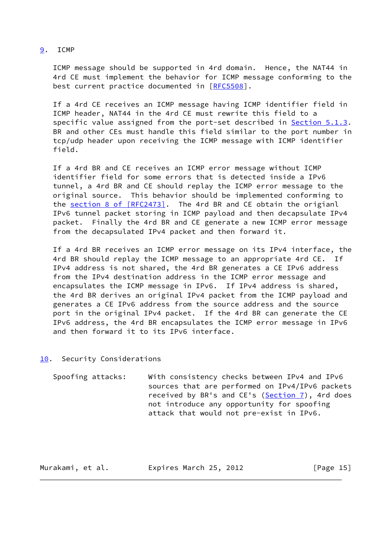<span id="page-16-0"></span>[9](#page-16-0). ICMP

 ICMP message should be supported in 4rd domain. Hence, the NAT44 in 4rd CE must implement the behavior for ICMP message conforming to the best current practice documented in [\[RFC5508](https://datatracker.ietf.org/doc/pdf/rfc5508)].

 If a 4rd CE receives an ICMP message having ICMP identifier field in ICMP header, NAT44 in the 4rd CE must rewrite this field to a specific value assigned from the port-set described in [Section 5.1.3.](#page-8-0) BR and other CEs must handle this field similar to the port number in tcp/udp header upon receiving the ICMP message with ICMP identifier field.

 If a 4rd BR and CE receives an ICMP error message without ICMP identifier field for some errors that is detected inside a IPv6 tunnel, a 4rd BR and CE should replay the ICMP error message to the original source. This behavior should be implemented conforming to the section [8 of \[RFC2473\]](https://datatracker.ietf.org/doc/pdf/rfc2473#section-8). The 4rd BR and CE obtain the origianl IPv6 tunnel packet storing in ICMP payload and then decapsulate IPv4 packet. Finally the 4rd BR and CE generate a new ICMP error message from the decapsulated IPv4 packet and then forward it.

 If a 4rd BR receives an ICMP error message on its IPv4 interface, the 4rd BR should replay the ICMP message to an appropriate 4rd CE. If IPv4 address is not shared, the 4rd BR generates a CE IPv6 address from the IPv4 destination address in the ICMP error message and encapsulates the ICMP message in IPv6. If IPv4 address is shared, the 4rd BR derives an original IPv4 packet from the ICMP payload and generates a CE IPv6 address from the source address and the source port in the original IPv4 packet. If the 4rd BR can generate the CE IPv6 address, the 4rd BR encapsulates the ICMP error message in IPv6 and then forward it to its IPv6 interface.

<span id="page-16-1"></span>[10.](#page-16-1) Security Considerations

 Spoofing attacks: With consistency checks between IPv4 and IPv6 sources that are performed on IPv4/IPv6 packets received by BR's and CE's [\(Section 7](#page-12-0)), 4rd does not introduce any opportunity for spoofing attack that would not pre-exist in IPv6.

Murakami, et al. **Expires March 25, 2012** [Page 15]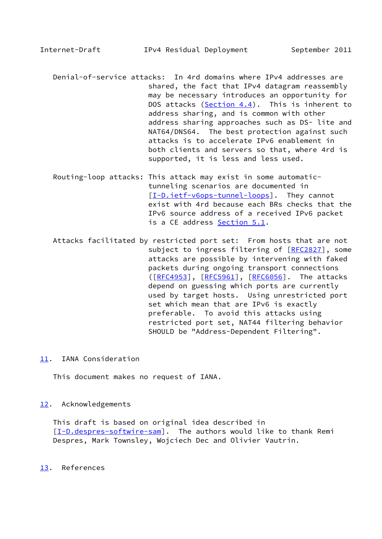<span id="page-17-1"></span>Internet-Draft IPv4 Residual Deployment September 2011

- Denial-of-service attacks: In 4rd domains where IPv4 addresses are shared, the fact that IPv4 datagram reassembly may be necessary introduces an opportunity for DOS attacks (Section 4.4). This is inherent to address sharing, and is common with other address sharing approaches such as DS- lite and NAT64/DNS64. The best protection against such attacks is to accelerate IPv6 enablement in both clients and servers so that, where 4rd is supported, it is less and less used.
- Routing-loop attacks: This attack may exist in some automatic tunneling scenarios are documented in [[I-D.ietf-v6ops-tunnel-loops](#page-18-4)]. They cannot exist with 4rd because each BRs checks that the IPv6 source address of a received IPv6 packet is a CE address [Section 5.1](#page-6-1).
- Attacks facilitated by restricted port set: From hosts that are not subject to ingress filtering of [[RFC2827](https://datatracker.ietf.org/doc/pdf/rfc2827)], some attacks are possible by intervening with faked packets during ongoing transport connections ([\[RFC4953](https://datatracker.ietf.org/doc/pdf/rfc4953)], [[RFC5961](https://datatracker.ietf.org/doc/pdf/rfc5961)], [\[RFC6056](https://datatracker.ietf.org/doc/pdf/rfc6056)]. The attacks depend on guessing which ports are currently used by target hosts. Using unrestricted port set which mean that are IPv6 is exactly preferable. To avoid this attacks using restricted port set, NAT44 filtering behavior SHOULD be "Address-Dependent Filtering".
- <span id="page-17-0"></span>[11.](#page-17-0) IANA Consideration

This document makes no request of IANA.

### <span id="page-17-2"></span>[12.](#page-17-2) Acknowledgements

 This draft is based on original idea described in [\[I-D.despres-softwire-sam](#page-18-5)]. The authors would like to thank Remi Despres, Mark Townsley, Wojciech Dec and Olivier Vautrin.

<span id="page-17-3"></span>[13.](#page-17-3) References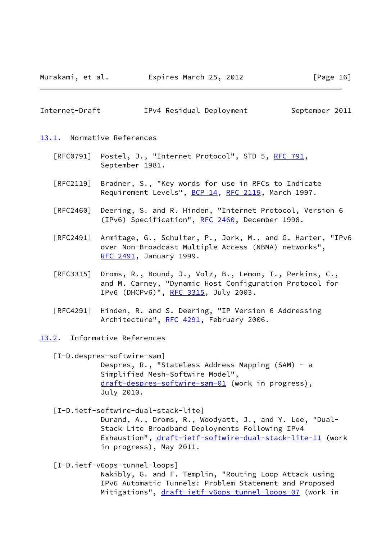Murakami, et al. Expires March 25, 2012 [Page 16]

<span id="page-18-0"></span>

|  | Internet-Draft | IPv4 Residual Deployment | September 2011 |
|--|----------------|--------------------------|----------------|
|--|----------------|--------------------------|----------------|

<span id="page-18-1"></span>[13.1](#page-18-1). Normative References

- [RFC0791] Postel, J., "Internet Protocol", STD 5, [RFC 791](https://datatracker.ietf.org/doc/pdf/rfc791), September 1981.
- [RFC2119] Bradner, S., "Key words for use in RFCs to Indicate Requirement Levels", [BCP 14](https://datatracker.ietf.org/doc/pdf/bcp14), [RFC 2119](https://datatracker.ietf.org/doc/pdf/rfc2119), March 1997.
- [RFC2460] Deering, S. and R. Hinden, "Internet Protocol, Version 6 (IPv6) Specification", [RFC 2460](https://datatracker.ietf.org/doc/pdf/rfc2460), December 1998.
- [RFC2491] Armitage, G., Schulter, P., Jork, M., and G. Harter, "IPv6 over Non-Broadcast Multiple Access (NBMA) networks", [RFC 2491,](https://datatracker.ietf.org/doc/pdf/rfc2491) January 1999.
- [RFC3315] Droms, R., Bound, J., Volz, B., Lemon, T., Perkins, C., and M. Carney, "Dynamic Host Configuration Protocol for IPv6 (DHCPv6)", [RFC 3315,](https://datatracker.ietf.org/doc/pdf/rfc3315) July 2003.
- [RFC4291] Hinden, R. and S. Deering, "IP Version 6 Addressing Architecture", [RFC 4291](https://datatracker.ietf.org/doc/pdf/rfc4291), February 2006.

<span id="page-18-2"></span>[13.2](#page-18-2). Informative References

<span id="page-18-5"></span> [I-D.despres-softwire-sam] Despres, R., "Stateless Address Mapping (SAM) - a Simplified Mesh-Softwire Model", [draft-despres-softwire-sam-01](https://datatracker.ietf.org/doc/pdf/draft-despres-softwire-sam-01) (work in progress), July 2010.

<span id="page-18-3"></span>[I-D.ietf-softwire-dual-stack-lite]

 Durand, A., Droms, R., Woodyatt, J., and Y. Lee, "Dual- Stack Lite Broadband Deployments Following IPv4 Exhaustion", [draft-ietf-softwire-dual-stack-lite-11](https://datatracker.ietf.org/doc/pdf/draft-ietf-softwire-dual-stack-lite-11) (work in progress), May 2011.

<span id="page-18-4"></span>[I-D.ietf-v6ops-tunnel-loops]

 Nakibly, G. and F. Templin, "Routing Loop Attack using IPv6 Automatic Tunnels: Problem Statement and Proposed Mitigations", [draft-ietf-v6ops-tunnel-loops-07](https://datatracker.ietf.org/doc/pdf/draft-ietf-v6ops-tunnel-loops-07) (work in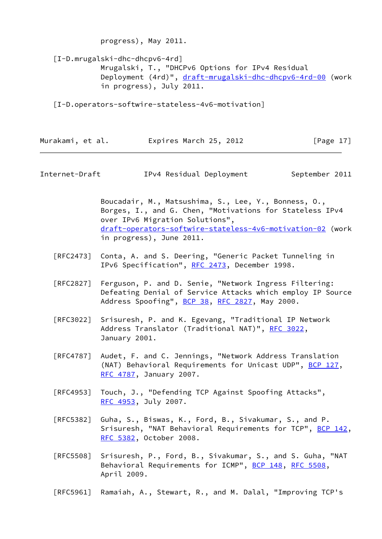<span id="page-19-2"></span> [I-D.mrugalski-dhc-dhcpv6-4rd] Mrugalski, T., "DHCPv6 Options for IPv4 Residual Deployment (4rd)", [draft-mrugalski-dhc-dhcpv6-4rd-00](https://datatracker.ietf.org/doc/pdf/draft-mrugalski-dhc-dhcpv6-4rd-00) (work in progress), July 2011.

<span id="page-19-1"></span>[I-D.operators-softwire-stateless-4v6-motivation]

progress), May 2011.

| Murakami, et al. | Expires March 25, 2012 | [Page $17$ ] |
|------------------|------------------------|--------------|
|------------------|------------------------|--------------|

<span id="page-19-0"></span>Internet-Draft IPv4 Residual Deployment September 2011

 Boucadair, M., Matsushima, S., Lee, Y., Bonness, O., Borges, I., and G. Chen, "Motivations for Stateless IPv4 over IPv6 Migration Solutions", [draft-operators-softwire-stateless-4v6-motivation-02](https://datatracker.ietf.org/doc/pdf/draft-operators-softwire-stateless-4v6-motivation-02) (work in progress), June 2011.

- [RFC2473] Conta, A. and S. Deering, "Generic Packet Tunneling in IPv6 Specification", [RFC 2473](https://datatracker.ietf.org/doc/pdf/rfc2473), December 1998.
- [RFC2827] Ferguson, P. and D. Senie, "Network Ingress Filtering: Defeating Denial of Service Attacks which employ IP Source Address Spoofing", [BCP 38](https://datatracker.ietf.org/doc/pdf/bcp38), [RFC 2827](https://datatracker.ietf.org/doc/pdf/rfc2827), May 2000.
- [RFC3022] Srisuresh, P. and K. Egevang, "Traditional IP Network Address Translator (Traditional NAT)", [RFC 3022](https://datatracker.ietf.org/doc/pdf/rfc3022), January 2001.
- [RFC4787] Audet, F. and C. Jennings, "Network Address Translation (NAT) Behavioral Requirements for Unicast UDP", [BCP 127](https://datatracker.ietf.org/doc/pdf/bcp127), [RFC 4787,](https://datatracker.ietf.org/doc/pdf/rfc4787) January 2007.
- [RFC4953] Touch, J., "Defending TCP Against Spoofing Attacks", [RFC 4953,](https://datatracker.ietf.org/doc/pdf/rfc4953) July 2007.
- [RFC5382] Guha, S., Biswas, K., Ford, B., Sivakumar, S., and P. Srisuresh, "NAT Behavioral Requirements for TCP", [BCP 142](https://datatracker.ietf.org/doc/pdf/bcp142), [RFC 5382,](https://datatracker.ietf.org/doc/pdf/rfc5382) October 2008.
- [RFC5508] Srisuresh, P., Ford, B., Sivakumar, S., and S. Guha, "NAT Behavioral Requirements for ICMP", [BCP 148](https://datatracker.ietf.org/doc/pdf/bcp148), [RFC 5508,](https://datatracker.ietf.org/doc/pdf/rfc5508) April 2009.
- [RFC5961] Ramaiah, A., Stewart, R., and M. Dalal, "Improving TCP's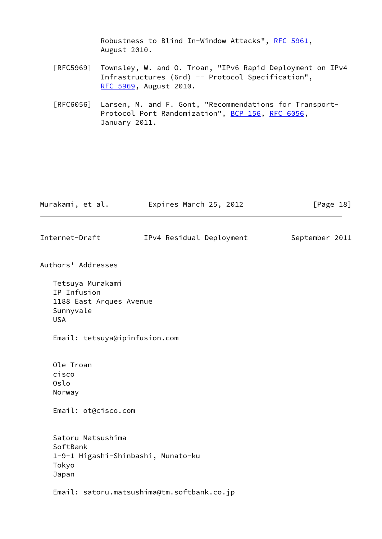Robustness to Blind In-Window Attacks", [RFC 5961,](https://datatracker.ietf.org/doc/pdf/rfc5961) August 2010. [RFC5969] Townsley, W. and O. Troan, "IPv6 Rapid Deployment on IPv4 Infrastructures (6rd) -- Protocol Specification", [RFC 5969,](https://datatracker.ietf.org/doc/pdf/rfc5969) August 2010. [RFC6056] Larsen, M. and F. Gont, "Recommendations for Transport- Protocol Port Randomization", [BCP 156](https://datatracker.ietf.org/doc/pdf/bcp156), [RFC 6056](https://datatracker.ietf.org/doc/pdf/rfc6056), January 2011. Murakami, et al. **Expires March 25, 2012** [Page 18] Internet-Draft 1Pv4 Residual Deployment September 2011 Authors' Addresses Tetsuya Murakami IP Infusion 1188 East Arques Avenue Sunnyvale USA Email: tetsuya@ipinfusion.com Ole Troan cisco Oslo Norway Email: ot@cisco.com Satoru Matsushima SoftBank 1-9-1 Higashi-Shinbashi, Munato-ku Tokyo Japan Email: satoru.matsushima@tm.softbank.co.jp